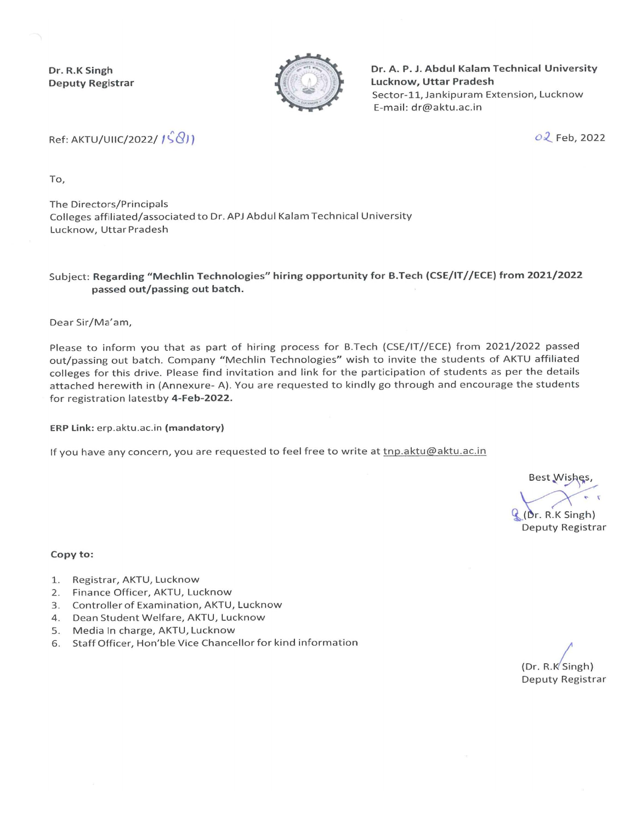Dr. R.K Singh **Deputy Registrar** 



Dr. A. P. J. Abdul Kalam Technical University Lucknow, Uttar Pradesh Sector-11, Jankipuram Extension, Lucknow E-mail: dr@aktu.ac.in

Ref: AKTU/UIIC/2022/ 1S81)

02 Feb, 2022

To.

The Directors/Principals Colleges affiliated/associated to Dr. APJ Abdul Kalam Technical University Lucknow, Uttar Pradesh

## Subject: Regarding "Mechlin Technologies" hiring opportunity for B.Tech (CSE/IT//ECE) from 2021/2022 passed out/passing out batch.

Dear Sir/Ma'am,

Please to inform you that as part of hiring process for B.Tech (CSE/IT//ECE) from 2021/2022 passed out/passing out batch. Company "Mechlin Technologies" wish to invite the students of AKTU affiliated colleges for this drive. Please find invitation and link for the participation of students as per the details attached herewith in (Annexure- A). You are requested to kindly go through and encourage the students for registration latestby 4-Feb-2022.

ERP Link: erp.aktu.ac.in (mandatory)

If you have any concern, you are requested to feel free to write at tnp.aktu@aktu.ac.in

**Best Wishes** (Dr. R.K Singh) Deputy Registrar

## Copy to:

- 1. Registrar, AKTU, Lucknow
- 2. Finance Officer, AKTU, Lucknow
- 3. Controller of Examination, AKTU, Lucknow
- 4. Dean Student Welfare, AKTU, Lucknow
- 5. Media In charge, AKTU, Lucknow
- 6. Staff Officer, Hon'ble Vice Chancellor for kind information

 $(Dr. R.K'Singh)$ Deputy Registrar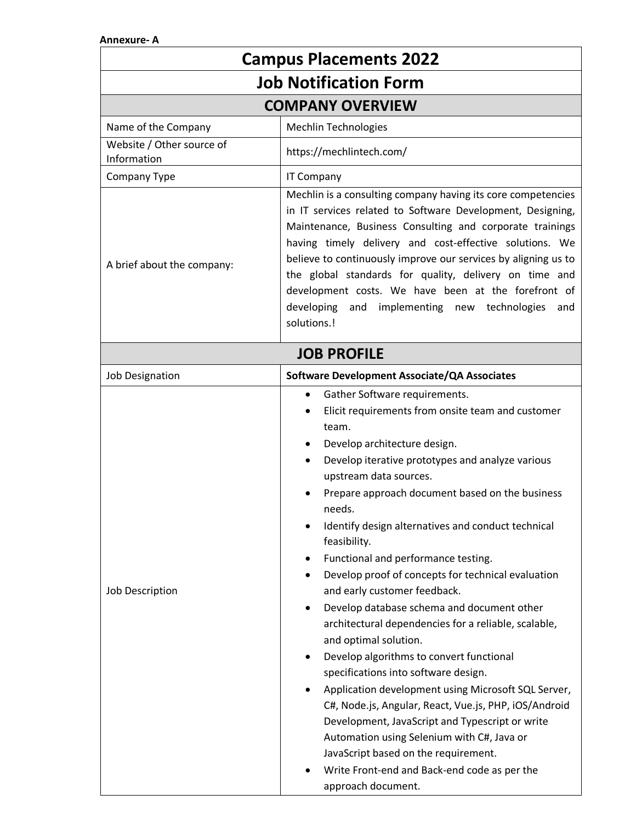## **Annexure- A**

| <b>Campus Placements 2022</b>            |                                                                                                                                                                                                                                                                                                                                                                                                                                                                                                                                                                                                                                                                                                                                                                                                                                                                                                                                                                                                                                                         |  |
|------------------------------------------|---------------------------------------------------------------------------------------------------------------------------------------------------------------------------------------------------------------------------------------------------------------------------------------------------------------------------------------------------------------------------------------------------------------------------------------------------------------------------------------------------------------------------------------------------------------------------------------------------------------------------------------------------------------------------------------------------------------------------------------------------------------------------------------------------------------------------------------------------------------------------------------------------------------------------------------------------------------------------------------------------------------------------------------------------------|--|
| <b>Job Notification Form</b>             |                                                                                                                                                                                                                                                                                                                                                                                                                                                                                                                                                                                                                                                                                                                                                                                                                                                                                                                                                                                                                                                         |  |
| <b>COMPANY OVERVIEW</b>                  |                                                                                                                                                                                                                                                                                                                                                                                                                                                                                                                                                                                                                                                                                                                                                                                                                                                                                                                                                                                                                                                         |  |
| Name of the Company                      | <b>Mechlin Technologies</b>                                                                                                                                                                                                                                                                                                                                                                                                                                                                                                                                                                                                                                                                                                                                                                                                                                                                                                                                                                                                                             |  |
| Website / Other source of<br>Information | https://mechlintech.com/                                                                                                                                                                                                                                                                                                                                                                                                                                                                                                                                                                                                                                                                                                                                                                                                                                                                                                                                                                                                                                |  |
| Company Type                             | <b>IT Company</b>                                                                                                                                                                                                                                                                                                                                                                                                                                                                                                                                                                                                                                                                                                                                                                                                                                                                                                                                                                                                                                       |  |
| A brief about the company:               | Mechlin is a consulting company having its core competencies<br>in IT services related to Software Development, Designing,<br>Maintenance, Business Consulting and corporate trainings<br>having timely delivery and cost-effective solutions. We<br>believe to continuously improve our services by aligning us to<br>the global standards for quality, delivery on time and<br>development costs. We have been at the forefront of<br>developing<br>and implementing new technologies<br>and<br>solutions.!                                                                                                                                                                                                                                                                                                                                                                                                                                                                                                                                           |  |
| <b>JOB PROFILE</b>                       |                                                                                                                                                                                                                                                                                                                                                                                                                                                                                                                                                                                                                                                                                                                                                                                                                                                                                                                                                                                                                                                         |  |
| <b>Job Designation</b>                   | Software Development Associate/QA Associates                                                                                                                                                                                                                                                                                                                                                                                                                                                                                                                                                                                                                                                                                                                                                                                                                                                                                                                                                                                                            |  |
| Job Description                          | Gather Software requirements.<br>$\bullet$<br>Elicit requirements from onsite team and customer<br>٠<br>team.<br>Develop architecture design.<br>Develop iterative prototypes and analyze various<br>upstream data sources.<br>Prepare approach document based on the business<br>needs.<br>Identify design alternatives and conduct technical<br>feasibility.<br>Functional and performance testing.<br>٠<br>Develop proof of concepts for technical evaluation<br>and early customer feedback.<br>Develop database schema and document other<br>architectural dependencies for a reliable, scalable,<br>and optimal solution.<br>Develop algorithms to convert functional<br>٠<br>specifications into software design.<br>Application development using Microsoft SQL Server,<br>C#, Node.js, Angular, React, Vue.js, PHP, iOS/Android<br>Development, JavaScript and Typescript or write<br>Automation using Selenium with C#, Java or<br>JavaScript based on the requirement.<br>Write Front-end and Back-end code as per the<br>approach document. |  |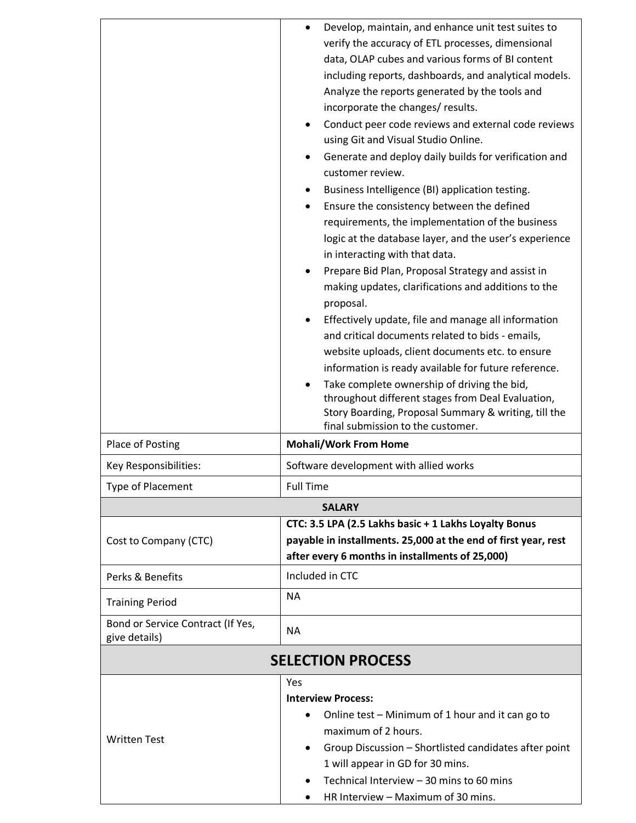|                                                    | Develop, maintain, and enhance unit test suites to<br>verify the accuracy of ETL processes, dimensional<br>data, OLAP cubes and various forms of BI content<br>including reports, dashboards, and analytical models.<br>Analyze the reports generated by the tools and<br>incorporate the changes/ results.<br>Conduct peer code reviews and external code reviews<br>using Git and Visual Studio Online.<br>Generate and deploy daily builds for verification and<br>customer review.<br>Business Intelligence (BI) application testing.<br>Ensure the consistency between the defined<br>requirements, the implementation of the business<br>logic at the database layer, and the user's experience<br>in interacting with that data.<br>Prepare Bid Plan, Proposal Strategy and assist in<br>making updates, clarifications and additions to the<br>proposal.<br>Effectively update, file and manage all information<br>٠<br>and critical documents related to bids - emails,<br>website uploads, client documents etc. to ensure<br>information is ready available for future reference. |  |
|----------------------------------------------------|----------------------------------------------------------------------------------------------------------------------------------------------------------------------------------------------------------------------------------------------------------------------------------------------------------------------------------------------------------------------------------------------------------------------------------------------------------------------------------------------------------------------------------------------------------------------------------------------------------------------------------------------------------------------------------------------------------------------------------------------------------------------------------------------------------------------------------------------------------------------------------------------------------------------------------------------------------------------------------------------------------------------------------------------------------------------------------------------|--|
|                                                    | Take complete ownership of driving the bid,<br>throughout different stages from Deal Evaluation,<br>Story Boarding, Proposal Summary & writing, till the<br>final submission to the customer.                                                                                                                                                                                                                                                                                                                                                                                                                                                                                                                                                                                                                                                                                                                                                                                                                                                                                                |  |
| Place of Posting                                   | <b>Mohali/Work From Home</b>                                                                                                                                                                                                                                                                                                                                                                                                                                                                                                                                                                                                                                                                                                                                                                                                                                                                                                                                                                                                                                                                 |  |
| Key Responsibilities:                              | Software development with allied works                                                                                                                                                                                                                                                                                                                                                                                                                                                                                                                                                                                                                                                                                                                                                                                                                                                                                                                                                                                                                                                       |  |
| <b>Type of Placement</b>                           | <b>Full Time</b>                                                                                                                                                                                                                                                                                                                                                                                                                                                                                                                                                                                                                                                                                                                                                                                                                                                                                                                                                                                                                                                                             |  |
| <b>SALARY</b>                                      |                                                                                                                                                                                                                                                                                                                                                                                                                                                                                                                                                                                                                                                                                                                                                                                                                                                                                                                                                                                                                                                                                              |  |
| Cost to Company (CTC)                              | CTC: 3.5 LPA (2.5 Lakhs basic + 1 Lakhs Loyalty Bonus<br>payable in installments. 25,000 at the end of first year, rest<br>after every 6 months in installments of 25,000)                                                                                                                                                                                                                                                                                                                                                                                                                                                                                                                                                                                                                                                                                                                                                                                                                                                                                                                   |  |
| Perks & Benefits                                   | Included in CTC                                                                                                                                                                                                                                                                                                                                                                                                                                                                                                                                                                                                                                                                                                                                                                                                                                                                                                                                                                                                                                                                              |  |
| <b>Training Period</b>                             | <b>NA</b>                                                                                                                                                                                                                                                                                                                                                                                                                                                                                                                                                                                                                                                                                                                                                                                                                                                                                                                                                                                                                                                                                    |  |
| Bond or Service Contract (If Yes,<br>give details) | <b>NA</b>                                                                                                                                                                                                                                                                                                                                                                                                                                                                                                                                                                                                                                                                                                                                                                                                                                                                                                                                                                                                                                                                                    |  |
| <b>SELECTION PROCESS</b>                           |                                                                                                                                                                                                                                                                                                                                                                                                                                                                                                                                                                                                                                                                                                                                                                                                                                                                                                                                                                                                                                                                                              |  |
| <b>Written Test</b>                                | Yes<br><b>Interview Process:</b><br>Online test - Minimum of 1 hour and it can go to<br>maximum of 2 hours.<br>Group Discussion - Shortlisted candidates after point<br>1 will appear in GD for 30 mins.<br>Technical Interview - 30 mins to 60 mins<br>HR Interview - Maximum of 30 mins.                                                                                                                                                                                                                                                                                                                                                                                                                                                                                                                                                                                                                                                                                                                                                                                                   |  |